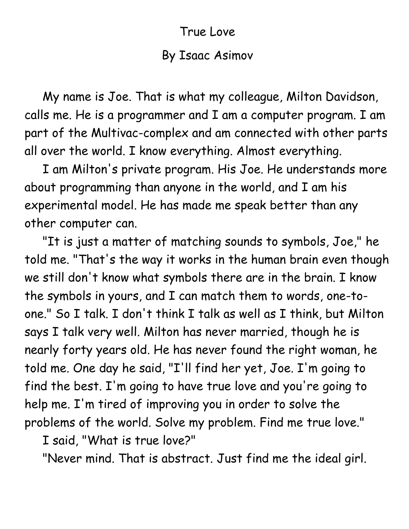## True Love

## By Isaac Asimov

 My name is Joe. That is what my colleague, Milton Davidson, calls me. He is a programmer and I am a computer program. I am part of the Multivac-complex and am connected with other parts all over the world. I know everything. Almost everything.

 I am Milton's private program. His Joe. He understands more about programming than anyone in the world, and I am his experimental model. He has made me speak better than any other computer can.

 "It is just a matter of matching sounds to symbols, Joe," he told me. "That's the way it works in the human brain even though we still don't know what symbols there are in the brain. I know the symbols in yours, and I can match them to words, one-toone." So I talk. I don't think I talk as well as I think, but Milton says I talk very well. Milton has never married, though he is nearly forty years old. He has never found the right woman, he told me. One day he said, "I'll find her yet, Joe. I'm going to find the best. I'm going to have true love and you're going to help me. I'm tired of improving you in order to solve the problems of the world. Solve my problem. Find me true love."

I said, "What is true love?"

"Never mind. That is abstract. Just find me the ideal girl.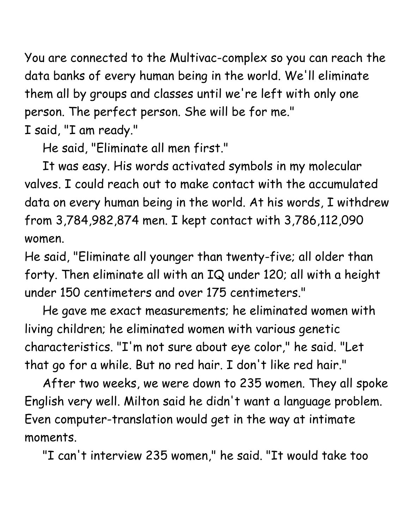You are connected to the Multivac-complex so you can reach the data banks of every human being in the world. We'll eliminate them all by groups and classes until we're left with only one person. The perfect person. She will be for me." I said, "I am ready."

He said, "Eliminate all men first."

 It was easy. His words activated symbols in my molecular valves. I could reach out to make contact with the accumulated data on every human being in the world. At his words, I withdrew from 3,784,982,874 men. I kept contact with 3,786,112,090 women.

He said, "Eliminate all younger than twenty-five; all older than forty. Then eliminate all with an IQ under 120; all with a height under 150 centimeters and over 175 centimeters."

 He gave me exact measurements; he eliminated women with living children; he eliminated women with various genetic characteristics. "I'm not sure about eye color," he said. "Let that go for a while. But no red hair. I don't like red hair."

 After two weeks, we were down to 235 women. They all spoke English very well. Milton said he didn't want a language problem. Even computer-translation would get in the way at intimate moments.

"I can't interview 235 women," he said. "It would take too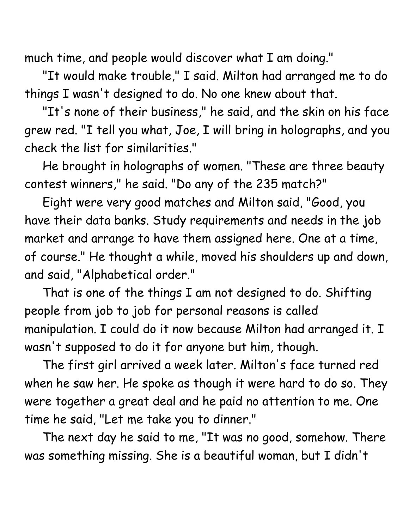much time, and people would discover what I am doing."

 "It would make trouble," I said. Milton had arranged me to do things I wasn't designed to do. No one knew about that.

 "It's none of their business," he said, and the skin on his face grew red. "I tell you what, Joe, I will bring in holographs, and you check the list for similarities."

 He brought in holographs of women. "These are three beauty contest winners," he said. "Do any of the 235 match?"

 Eight were very good matches and Milton said, "Good, you have their data banks. Study requirements and needs in the job market and arrange to have them assigned here. One at a time, of course." He thought a while, moved his shoulders up and down, and said, "Alphabetical order."

 That is one of the things I am not designed to do. Shifting people from job to job for personal reasons is called manipulation. I could do it now because Milton had arranged it. I wasn't supposed to do it for anyone but him, though.

 The first girl arrived a week later. Milton's face turned red when he saw her. He spoke as though it were hard to do so. They were together a great deal and he paid no attention to me. One time he said, "Let me take you to dinner."

 The next day he said to me, "It was no good, somehow. There was something missing. She is a beautiful woman, but I didn't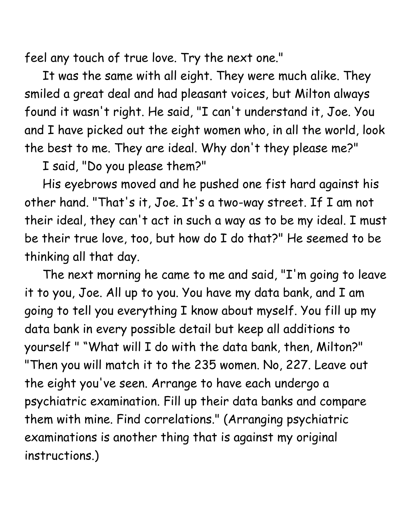feel any touch of true love. Try the next one."

 It was the same with all eight. They were much alike. They smiled a great deal and had pleasant voices, but Milton always found it wasn't right. He said, "I can't understand it, Joe. You and I have picked out the eight women who, in all the world, look the best to me. They are ideal. Why don't they please me?"

I said, "Do you please them?"

 His eyebrows moved and he pushed one fist hard against his other hand. "That's it, Joe. It's a two-way street. If I am not their ideal, they can't act in such a way as to be my ideal. I must be their true love, too, but how do I do that?" He seemed to be thinking all that day.

 The next morning he came to me and said, "I'm going to leave it to you, Joe. All up to you. You have my data bank, and I am going to tell you everything I know about myself. You fill up my data bank in every possible detail but keep all additions to yourself " "What will I do with the data bank, then, Milton?" "Then you will match it to the 235 women. No, 227. Leave out the eight you've seen. Arrange to have each undergo a psychiatric examination. Fill up their data banks and compare them with mine. Find correlations." (Arranging psychiatric examinations is another thing that is against my original instructions.)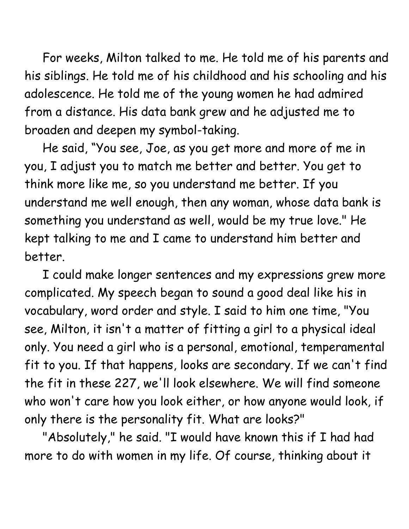For weeks, Milton talked to me. He told me of his parents and his siblings. He told me of his childhood and his schooling and his adolescence. He told me of the young women he had admired from a distance. His data bank grew and he adjusted me to broaden and deepen my symbol-taking.

 He said, "You see, Joe, as you get more and more of me in you, I adjust you to match me better and better. You get to think more like me, so you understand me better. If you understand me well enough, then any woman, whose data bank is something you understand as well, would be my true love." He kept talking to me and I came to understand him better and better.

 I could make longer sentences and my expressions grew more complicated. My speech began to sound a good deal like his in vocabulary, word order and style. I said to him one time, "You see, Milton, it isn't a matter of fitting a girl to a physical ideal only. You need a girl who is a personal, emotional, temperamental fit to you. If that happens, looks are secondary. If we can't find the fit in these 227, we'll look elsewhere. We will find someone who won't care how you look either, or how anyone would look, if only there is the personality fit. What are looks?"

 "Absolutely," he said. "I would have known this if I had had more to do with women in my life. Of course, thinking about it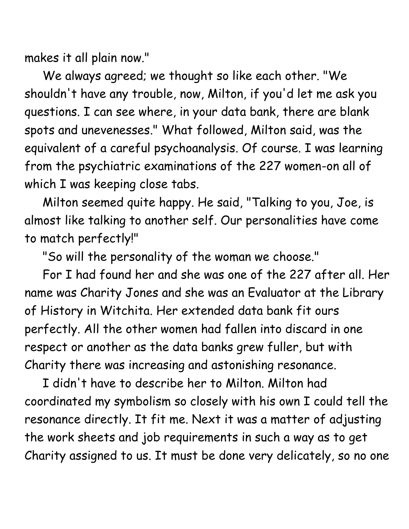makes it all plain now."

 We always agreed; we thought so like each other. "We shouldn't have any trouble, now, Milton, if you'd let me ask you questions. I can see where, in your data bank, there are blank spots and unevenesses." What followed, Milton said, was the equivalent of a careful psychoanalysis. Of course. I was learning from the psychiatric examinations of the 227 women-on all of which I was keeping close tabs.

 Milton seemed quite happy. He said, "Talking to you, Joe, is almost like talking to another self. Our personalities have come to match perfectly!"

"So will the personality of the woman we choose."

 For I had found her and she was one of the 227 after all. Her name was Charity Jones and she was an Evaluator at the Library of History in Witchita. Her extended data bank fit ours perfectly. All the other women had fallen into discard in one respect or another as the data banks grew fuller, but with Charity there was increasing and astonishing resonance.

 I didn't have to describe her to Milton. Milton had coordinated my symbolism so closely with his own I could tell the resonance directly. It fit me. Next it was a matter of adjusting the work sheets and job requirements in such a way as to get Charity assigned to us. It must be done very delicately, so no one